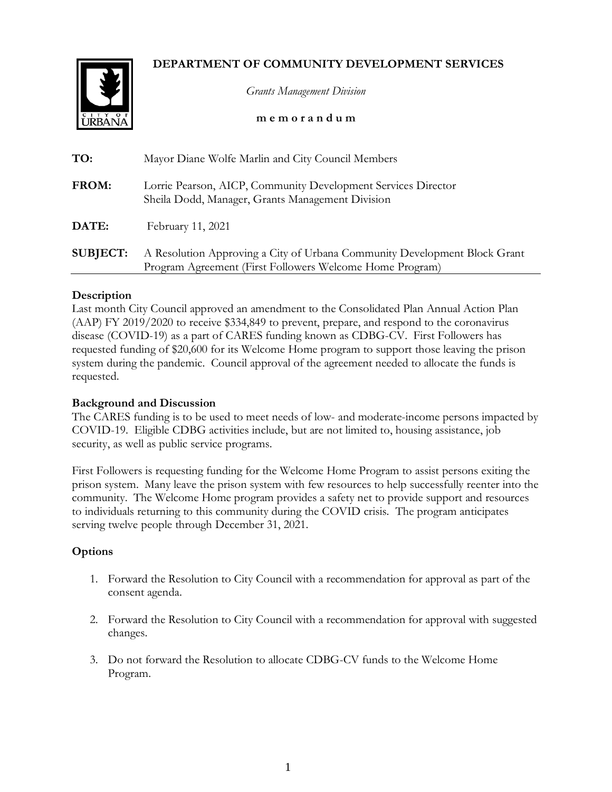# **DEPARTMENT OF COMMUNITY DEVELOPMENT SERVICES**



*Grants Management Division*

## **m e m o r a n d u m**

| TO:             | Mayor Diane Wolfe Marlin and City Council Members                                                                                     |
|-----------------|---------------------------------------------------------------------------------------------------------------------------------------|
| <b>FROM:</b>    | Lorrie Pearson, AICP, Community Development Services Director<br>Sheila Dodd, Manager, Grants Management Division                     |
| DATE:           | February 11, 2021                                                                                                                     |
| <b>SUBJECT:</b> | A Resolution Approving a City of Urbana Community Development Block Grant<br>Program Agreement (First Followers Welcome Home Program) |

## **Description**

Last month City Council approved an amendment to the Consolidated Plan Annual Action Plan (AAP) FY 2019/2020 to receive \$334,849 to prevent, prepare, and respond to the coronavirus disease (COVID-19) as a part of CARES funding known as CDBG-CV. First Followers has requested funding of \$20,600 for its Welcome Home program to support those leaving the prison system during the pandemic. Council approval of the agreement needed to allocate the funds is requested.

# **Background and Discussion**

The CARES funding is to be used to meet needs of low- and moderate-income persons impacted by COVID-19. Eligible CDBG activities include, but are not limited to, housing assistance, job security, as well as public service programs.

First Followers is requesting funding for the Welcome Home Program to assist persons exiting the prison system. Many leave the prison system with few resources to help successfully reenter into the community. The Welcome Home program provides a safety net to provide support and resources to individuals returning to this community during the COVID crisis. The program anticipates serving twelve people through December 31, 2021.

# **Options**

- 1. Forward the Resolution to City Council with a recommendation for approval as part of the consent agenda.
- 2. Forward the Resolution to City Council with a recommendation for approval with suggested changes.
- 3. Do not forward the Resolution to allocate CDBG-CV funds to the Welcome Home Program.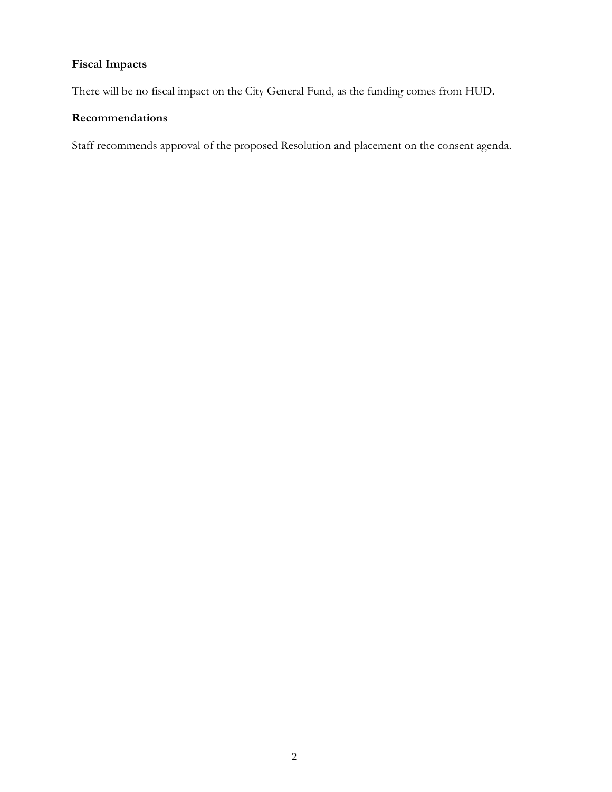# **Fiscal Impacts**

There will be no fiscal impact on the City General Fund, as the funding comes from HUD.

# **Recommendations**

Staff recommends approval of the proposed Resolution and placement on the consent agenda.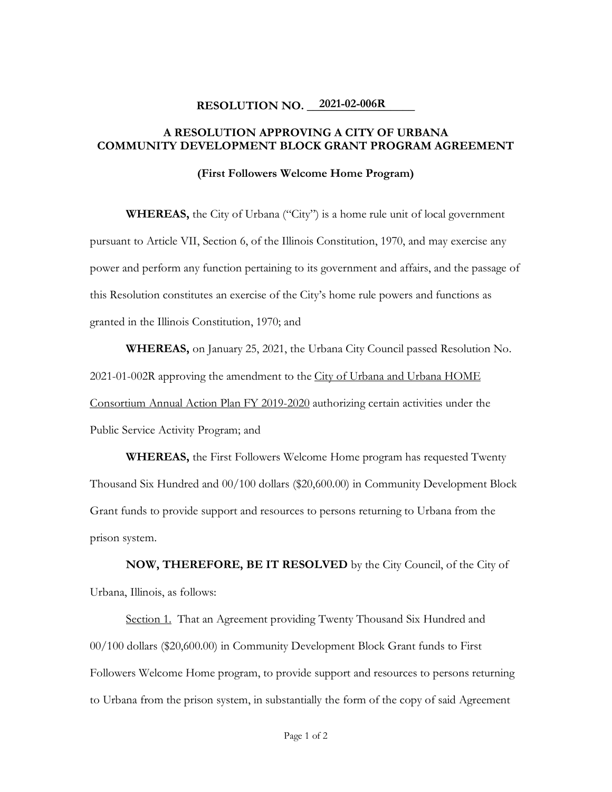# **RESOLUTION NO.** 2021-02-006R

# **A RESOLUTION APPROVING A CITY OF URBANA COMMUNITY DEVELOPMENT BLOCK GRANT PROGRAM AGREEMENT**

#### **(First Followers Welcome Home Program)**

**WHEREAS,** the City of Urbana ("City") is a home rule unit of local government pursuant to Article VII, Section 6, of the Illinois Constitution, 1970, and may exercise any power and perform any function pertaining to its government and affairs, and the passage of this Resolution constitutes an exercise of the City's home rule powers and functions as granted in the Illinois Constitution, 1970; and

**WHEREAS,** on January 25, 2021, the Urbana City Council passed Resolution No. 2021-01-002R approving the amendment to the City of Urbana and Urbana HOME Consortium Annual Action Plan FY 2019-2020 authorizing certain activities under the Public Service Activity Program; and

**WHEREAS,** the First Followers Welcome Home program has requested Twenty Thousand Six Hundred and 00/100 dollars (\$20,600.00) in Community Development Block Grant funds to provide support and resources to persons returning to Urbana from the prison system.

**NOW, THEREFORE, BE IT RESOLVED** by the City Council, of the City of Urbana, Illinois, as follows:

Section 1. That an Agreement providing Twenty Thousand Six Hundred and 00/100 dollars (\$20,600.00) in Community Development Block Grant funds to First Followers Welcome Home program, to provide support and resources to persons returning to Urbana from the prison system, in substantially the form of the copy of said Agreement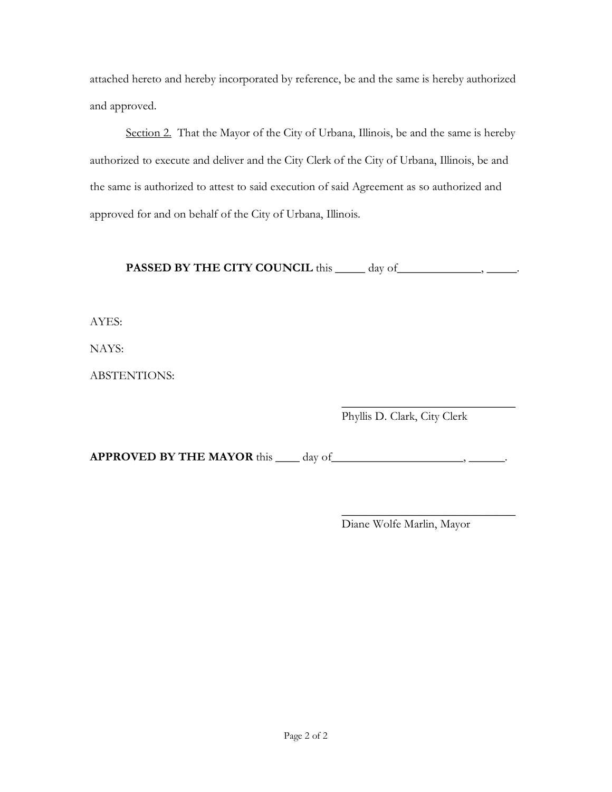attached hereto and hereby incorporated by reference, be and the same is hereby authorized and approved.

Section 2. That the Mayor of the City of Urbana, Illinois, be and the same is hereby authorized to execute and deliver and the City Clerk of the City of Urbana, Illinois, be and the same is authorized to attest to said execution of said Agreement as so authorized and approved for and on behalf of the City of Urbana, Illinois.

**PASSED BY THE CITY COUNCIL** this \_\_\_\_\_ day of \_\_\_\_\_\_\_\_\_\_\_\_\_, \_\_\_\_\_\_.

AYES:

NAYS:

ABSTENTIONS:

 $\overline{\phantom{a}}$  , where  $\overline{\phantom{a}}$  , where  $\overline{\phantom{a}}$  , where  $\overline{\phantom{a}}$ Phyllis D. Clark, City Clerk

**APPROVED BY THE MAYOR** this \_\_\_\_ day of\_\_\_\_\_\_\_\_\_\_\_\_\_\_\_\_\_\_\_\_\_\_\_\_\_\_, \_\_\_\_\_\_\_\_\_.

 $\overline{\phantom{a}}$  , where  $\overline{\phantom{a}}$  , where  $\overline{\phantom{a}}$  , where  $\overline{\phantom{a}}$ Diane Wolfe Marlin, Mayor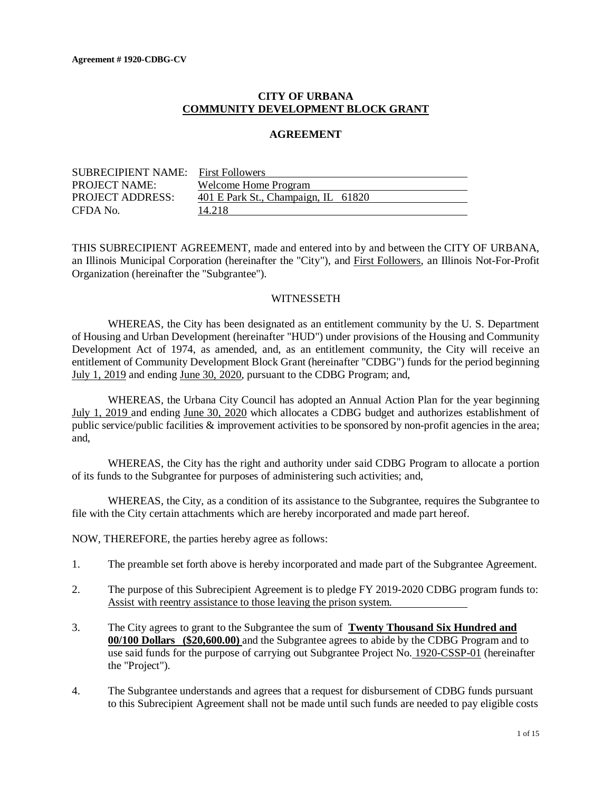## **CITY OF URBANA COMMUNITY DEVELOPMENT BLOCK GRANT**

#### **AGREEMENT**

| <b>SUBRECIPIENT NAME:</b> First Followers |                                     |  |
|-------------------------------------------|-------------------------------------|--|
| <b>PROJECT NAME:</b>                      | Welcome Home Program                |  |
| <b>PROJECT ADDRESS:</b>                   | 401 E Park St., Champaign, IL 61820 |  |
| CFDA No.                                  | 14.218                              |  |

THIS SUBRECIPIENT AGREEMENT, made and entered into by and between the CITY OF URBANA, an Illinois Municipal Corporation (hereinafter the "City"), and First Followers, an Illinois Not-For-Profit Organization (hereinafter the "Subgrantee").

#### **WITNESSETH**

WHEREAS, the City has been designated as an entitlement community by the U. S. Department of Housing and Urban Development (hereinafter "HUD") under provisions of the Housing and Community Development Act of 1974, as amended, and, as an entitlement community, the City will receive an entitlement of Community Development Block Grant (hereinafter "CDBG") funds for the period beginning July 1, 2019 and ending June 30, 2020, pursuant to the CDBG Program; and,

WHEREAS, the Urbana City Council has adopted an Annual Action Plan for the year beginning July 1, 2019 and ending June 30, 2020 which allocates a CDBG budget and authorizes establishment of public service/public facilities & improvement activities to be sponsored by non-profit agencies in the area; and,

WHEREAS, the City has the right and authority under said CDBG Program to allocate a portion of its funds to the Subgrantee for purposes of administering such activities; and,

WHEREAS, the City, as a condition of its assistance to the Subgrantee, requires the Subgrantee to file with the City certain attachments which are hereby incorporated and made part hereof.

NOW, THEREFORE, the parties hereby agree as follows:

- 1. The preamble set forth above is hereby incorporated and made part of the Subgrantee Agreement.
- 2. The purpose of this Subrecipient Agreement is to pledge FY 2019-2020 CDBG program funds to: Assist with reentry assistance to those leaving the prison system.
- 3. The City agrees to grant to the Subgrantee the sum of **Twenty Thousand Six Hundred and 00/100 Dollars (\$20,600.00)** and the Subgrantee agrees to abide by the CDBG Program and to use said funds for the purpose of carrying out Subgrantee Project No. 1920-CSSP-01 (hereinafter the "Project").
- 4. The Subgrantee understands and agrees that a request for disbursement of CDBG funds pursuant to this Subrecipient Agreement shall not be made until such funds are needed to pay eligible costs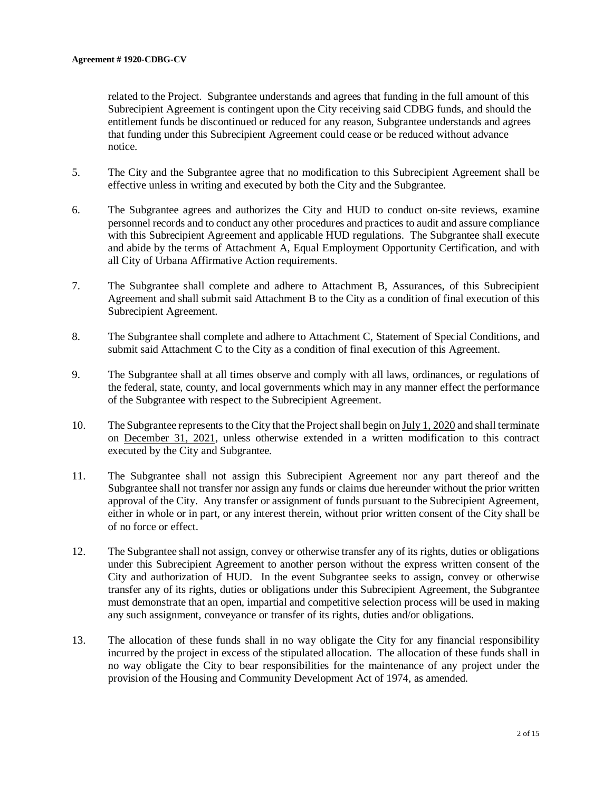related to the Project. Subgrantee understands and agrees that funding in the full amount of this Subrecipient Agreement is contingent upon the City receiving said CDBG funds, and should the entitlement funds be discontinued or reduced for any reason, Subgrantee understands and agrees that funding under this Subrecipient Agreement could cease or be reduced without advance notice.

- 5. The City and the Subgrantee agree that no modification to this Subrecipient Agreement shall be effective unless in writing and executed by both the City and the Subgrantee.
- 6. The Subgrantee agrees and authorizes the City and HUD to conduct on-site reviews, examine personnel records and to conduct any other procedures and practices to audit and assure compliance with this Subrecipient Agreement and applicable HUD regulations. The Subgrantee shall execute and abide by the terms of Attachment A, Equal Employment Opportunity Certification, and with all City of Urbana Affirmative Action requirements.
- 7. The Subgrantee shall complete and adhere to Attachment B, Assurances, of this Subrecipient Agreement and shall submit said Attachment B to the City as a condition of final execution of this Subrecipient Agreement.
- 8. The Subgrantee shall complete and adhere to Attachment C, Statement of Special Conditions, and submit said Attachment C to the City as a condition of final execution of this Agreement.
- 9. The Subgrantee shall at all times observe and comply with all laws, ordinances, or regulations of the federal, state, county, and local governments which may in any manner effect the performance of the Subgrantee with respect to the Subrecipient Agreement.
- 10. The Subgrantee represents to the City that the Project shall begin on July 1, 2020 and shall terminate on December 31, 2021, unless otherwise extended in a written modification to this contract executed by the City and Subgrantee.
- 11. The Subgrantee shall not assign this Subrecipient Agreement nor any part thereof and the Subgrantee shall not transfer nor assign any funds or claims due hereunder without the prior written approval of the City. Any transfer or assignment of funds pursuant to the Subrecipient Agreement, either in whole or in part, or any interest therein, without prior written consent of the City shall be of no force or effect.
- 12. The Subgrantee shall not assign, convey or otherwise transfer any of its rights, duties or obligations under this Subrecipient Agreement to another person without the express written consent of the City and authorization of HUD. In the event Subgrantee seeks to assign, convey or otherwise transfer any of its rights, duties or obligations under this Subrecipient Agreement, the Subgrantee must demonstrate that an open, impartial and competitive selection process will be used in making any such assignment, conveyance or transfer of its rights, duties and/or obligations.
- 13. The allocation of these funds shall in no way obligate the City for any financial responsibility incurred by the project in excess of the stipulated allocation. The allocation of these funds shall in no way obligate the City to bear responsibilities for the maintenance of any project under the provision of the Housing and Community Development Act of 1974, as amended.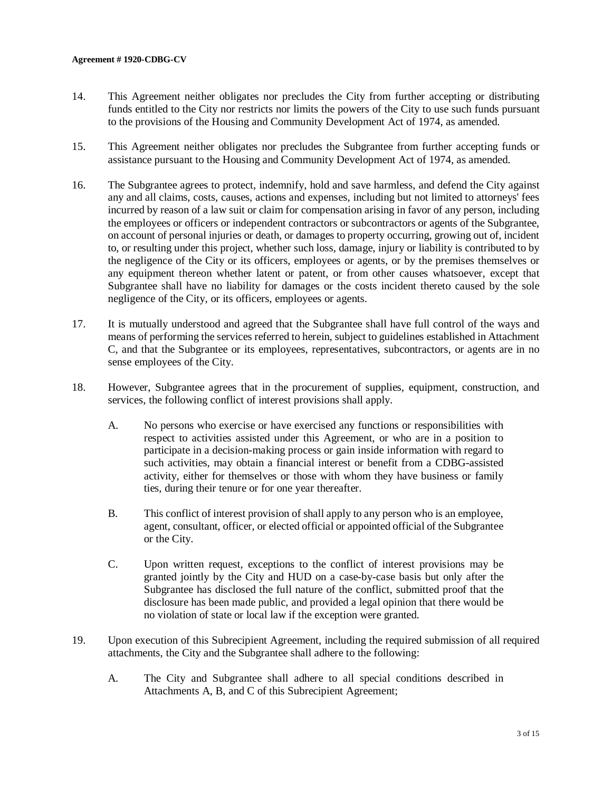#### **Agreement # 1920-CDBG-CV**

- 14. This Agreement neither obligates nor precludes the City from further accepting or distributing funds entitled to the City nor restricts nor limits the powers of the City to use such funds pursuant to the provisions of the Housing and Community Development Act of 1974, as amended.
- 15. This Agreement neither obligates nor precludes the Subgrantee from further accepting funds or assistance pursuant to the Housing and Community Development Act of 1974, as amended.
- 16. The Subgrantee agrees to protect, indemnify, hold and save harmless, and defend the City against any and all claims, costs, causes, actions and expenses, including but not limited to attorneys' fees incurred by reason of a law suit or claim for compensation arising in favor of any person, including the employees or officers or independent contractors or subcontractors or agents of the Subgrantee, on account of personal injuries or death, or damages to property occurring, growing out of, incident to, or resulting under this project, whether such loss, damage, injury or liability is contributed to by the negligence of the City or its officers, employees or agents, or by the premises themselves or any equipment thereon whether latent or patent, or from other causes whatsoever, except that Subgrantee shall have no liability for damages or the costs incident thereto caused by the sole negligence of the City, or its officers, employees or agents.
- 17. It is mutually understood and agreed that the Subgrantee shall have full control of the ways and means of performing the services referred to herein, subject to guidelines established in Attachment C, and that the Subgrantee or its employees, representatives, subcontractors, or agents are in no sense employees of the City.
- 18. However, Subgrantee agrees that in the procurement of supplies, equipment, construction, and services, the following conflict of interest provisions shall apply.
	- A. No persons who exercise or have exercised any functions or responsibilities with respect to activities assisted under this Agreement, or who are in a position to participate in a decision-making process or gain inside information with regard to such activities, may obtain a financial interest or benefit from a CDBG-assisted activity, either for themselves or those with whom they have business or family ties, during their tenure or for one year thereafter.
	- B. This conflict of interest provision of shall apply to any person who is an employee, agent, consultant, officer, or elected official or appointed official of the Subgrantee or the City.
	- C. Upon written request, exceptions to the conflict of interest provisions may be granted jointly by the City and HUD on a case-by-case basis but only after the Subgrantee has disclosed the full nature of the conflict, submitted proof that the disclosure has been made public, and provided a legal opinion that there would be no violation of state or local law if the exception were granted.
- 19. Upon execution of this Subrecipient Agreement, including the required submission of all required attachments, the City and the Subgrantee shall adhere to the following:
	- A. The City and Subgrantee shall adhere to all special conditions described in Attachments A, B, and C of this Subrecipient Agreement;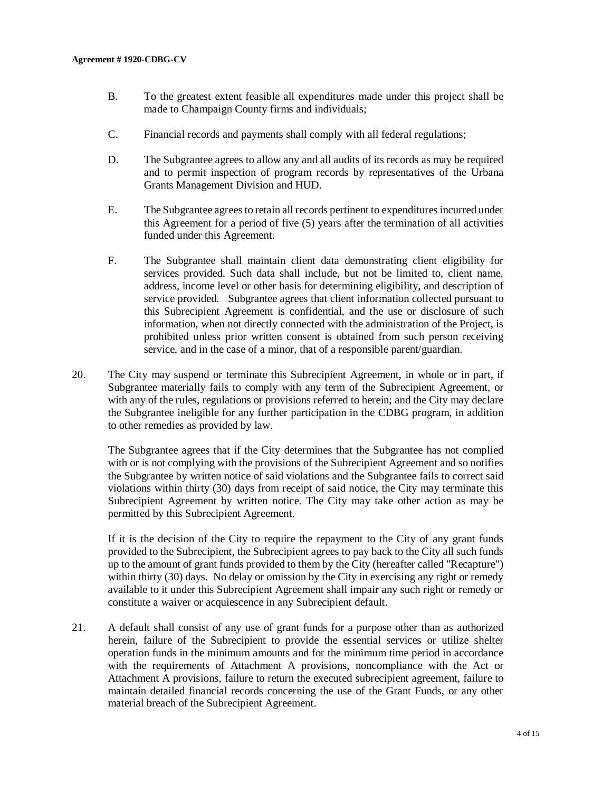- B. To the greatest extent feasible all expenditures made under this project shall be made to Champaign County firms and individuals;
- C. Financial records and payments shall comply with all federal regulations;
- D. The Subgrantee agrees to allow any and all audits of its records as may be required and to permit inspection of program records by representatives of the Urbana Grants Management Division and HUD.
- E. The Subgrantee agrees to retain all records pertinent to expenditures incurred under this Agreement for a period of five (5) years after the termination of all activities funded under this Agreement.
- F. The Subgrantee shall maintain client data demonstrating client eligibility for services provided. Such data shall include, but not be limited to, client name, address, income level or other basis for determining eligibility, and description of service provided. Subgrantee agrees that client information collected pursuant to this Subrecipient Agreement is confidential, and the use or disclosure of such information, when not directly connected with the administration of the Project, is prohibited unless prior written consent is obtained from such person receiving service, and in the case of a minor, that of a responsible parent/guardian.
- 20. The City may suspend or terminate this Subrecipient Agreement, in whole or in part, if Subgrantee materially fails to comply with any term of the Subrecipient Agreement, or with any of the rules, regulations or provisions referred to herein; and the City may declare the Subgrantee ineligible for any further participation in the CDBG program, in addition to other remedies as provided by law.

The Subgrantee agrees that if the City determines that the Subgrantee has not complied with or is not complying with the provisions of the Subrecipient Agreement and so notifies the Subgrantee by written notice of said violations and the Subgrantee fails to correct said violations within thirty (30) days from receipt of said notice, the City may terminate this Subrecipient Agreement by written notice. The City may take other action as may be permitted by this Subrecipient Agreement.

If it is the decision of the City to require the repayment to the City of any grant funds provided to the Subrecipient, the Subrecipient agrees to pay back to the City all such funds up to the amount of grant funds provided to them by the City (hereafter called "Recapture") within thirty (30) days. No delay or omission by the City in exercising any right or remedy available to it under this Subrecipient Agreement shall impair any such right or remedy or constitute a waiver or acquiescence in any Subrecipient default.

21. A default shall consist of any use of grant funds for a purpose other than as authorized herein, failure of the Subrecipient to provide the essential services or utilize shelter operation funds in the minimum amounts and for the minimum time period in accordance with the requirements of Attachment A provisions, noncompliance with the Act or Attachment A provisions, failure to return the executed subrecipient agreement, failure to maintain detailed financial records concerning the use of the Grant Funds, or any other material breach of the Subrecipient Agreement.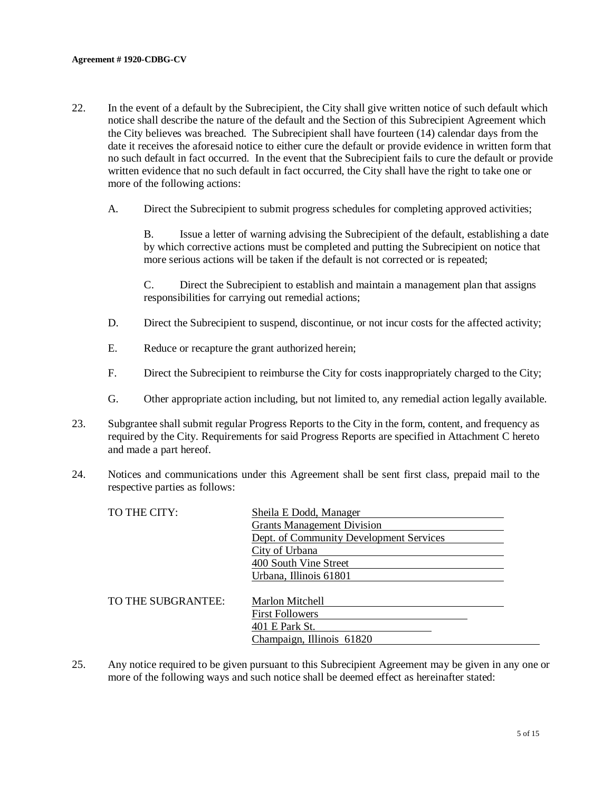- 22. In the event of a default by the Subrecipient, the City shall give written notice of such default which notice shall describe the nature of the default and the Section of this Subrecipient Agreement which the City believes was breached. The Subrecipient shall have fourteen (14) calendar days from the date it receives the aforesaid notice to either cure the default or provide evidence in written form that no such default in fact occurred. In the event that the Subrecipient fails to cure the default or provide written evidence that no such default in fact occurred, the City shall have the right to take one or more of the following actions:
	- A. Direct the Subrecipient to submit progress schedules for completing approved activities;

B. Issue a letter of warning advising the Subrecipient of the default, establishing a date by which corrective actions must be completed and putting the Subrecipient on notice that more serious actions will be taken if the default is not corrected or is repeated;

C. Direct the Subrecipient to establish and maintain a management plan that assigns responsibilities for carrying out remedial actions;

- D. Direct the Subrecipient to suspend, discontinue, or not incur costs for the affected activity;
- E. Reduce or recapture the grant authorized herein;
- F. Direct the Subrecipient to reimburse the City for costs inappropriately charged to the City;
- G. Other appropriate action including, but not limited to, any remedial action legally available.
- 23. Subgrantee shall submit regular Progress Reports to the City in the form, content, and frequency as required by the City. Requirements for said Progress Reports are specified in Attachment C hereto and made a part hereof.
- 24. Notices and communications under this Agreement shall be sent first class, prepaid mail to the respective parties as follows:

| TO THE CITY:       | Sheila E Dodd, Manager                  |
|--------------------|-----------------------------------------|
|                    | <b>Grants Management Division</b>       |
|                    | Dept. of Community Development Services |
|                    | City of Urbana                          |
|                    | 400 South Vine Street                   |
|                    | Urbana, Illinois 61801                  |
|                    |                                         |
| TO THE SUBGRANTEE: | Marlon Mitchell                         |
|                    | <b>First Followers</b>                  |
|                    | 401 E Park St.                          |
|                    | Champaign, Illinois 61820               |
|                    |                                         |

25. Any notice required to be given pursuant to this Subrecipient Agreement may be given in any one or more of the following ways and such notice shall be deemed effect as hereinafter stated: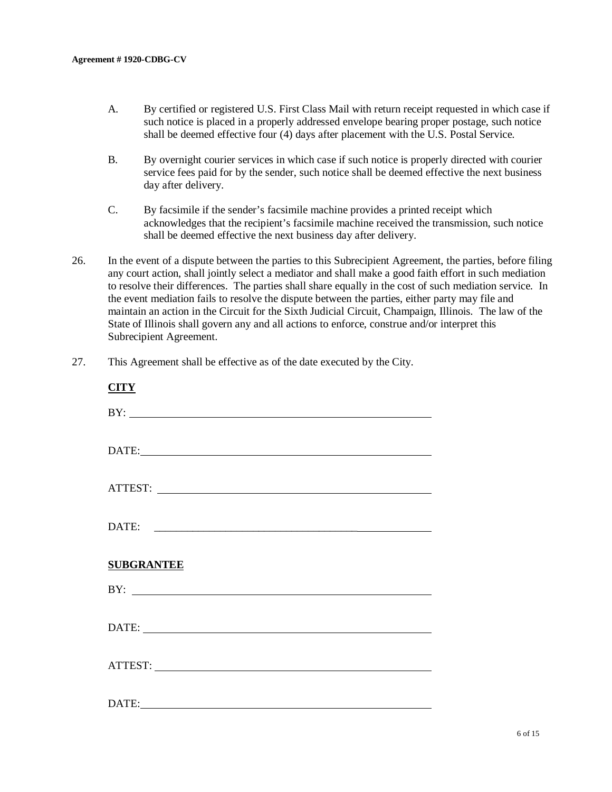CITTLET

- A. By certified or registered U.S. First Class Mail with return receipt requested in which case if such notice is placed in a properly addressed envelope bearing proper postage, such notice shall be deemed effective four (4) days after placement with the U.S. Postal Service.
- B. By overnight courier services in which case if such notice is properly directed with courier service fees paid for by the sender, such notice shall be deemed effective the next business day after delivery.
- C. By facsimile if the sender's facsimile machine provides a printed receipt which acknowledges that the recipient's facsimile machine received the transmission, such notice shall be deemed effective the next business day after delivery.
- 26. In the event of a dispute between the parties to this Subrecipient Agreement, the parties, before filing any court action, shall jointly select a mediator and shall make a good faith effort in such mediation to resolve their differences. The parties shall share equally in the cost of such mediation service. In the event mediation fails to resolve the dispute between the parties, either party may file and maintain an action in the Circuit for the Sixth Judicial Circuit, Champaign, Illinois. The law of the State of Illinois shall govern any and all actions to enforce, construe and/or interpret this Subrecipient Agreement.
- 27. This Agreement shall be effective as of the date executed by the City.

| BY:               |  |
|-------------------|--|
| DATE:             |  |
| ATTEST:           |  |
|                   |  |
| <b>SUBGRANTEE</b> |  |
| BY:               |  |
|                   |  |
|                   |  |
|                   |  |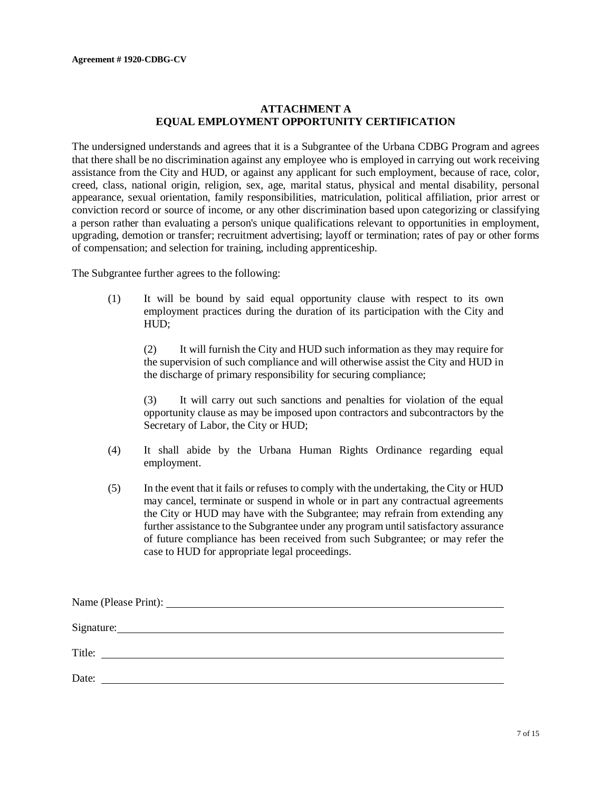### **ATTACHMENT A EQUAL EMPLOYMENT OPPORTUNITY CERTIFICATION**

The undersigned understands and agrees that it is a Subgrantee of the Urbana CDBG Program and agrees that there shall be no discrimination against any employee who is employed in carrying out work receiving assistance from the City and HUD, or against any applicant for such employment, because of race, color, creed, class, national origin, religion, sex, age, marital status, physical and mental disability, personal appearance, sexual orientation, family responsibilities, matriculation, political affiliation, prior arrest or conviction record or source of income, or any other discrimination based upon categorizing or classifying a person rather than evaluating a person's unique qualifications relevant to opportunities in employment, upgrading, demotion or transfer; recruitment advertising; layoff or termination; rates of pay or other forms of compensation; and selection for training, including apprenticeship.

The Subgrantee further agrees to the following:

(1) It will be bound by said equal opportunity clause with respect to its own employment practices during the duration of its participation with the City and HUD;

(2) It will furnish the City and HUD such information as they may require for the supervision of such compliance and will otherwise assist the City and HUD in the discharge of primary responsibility for securing compliance;

(3) It will carry out such sanctions and penalties for violation of the equal opportunity clause as may be imposed upon contractors and subcontractors by the Secretary of Labor, the City or HUD;

- (4) It shall abide by the Urbana Human Rights Ordinance regarding equal employment.
- (5) In the event that it fails or refuses to comply with the undertaking, the City or HUD may cancel, terminate or suspend in whole or in part any contractual agreements the City or HUD may have with the Subgrantee; may refrain from extending any further assistance to the Subgrantee under any program until satisfactory assurance of future compliance has been received from such Subgrantee; or may refer the case to HUD for appropriate legal proceedings.

| Signature:                                              |  |  |
|---------------------------------------------------------|--|--|
| Title:<br><u> 1989 - Jan Samuel Barbara, margaret e</u> |  |  |
| Date:                                                   |  |  |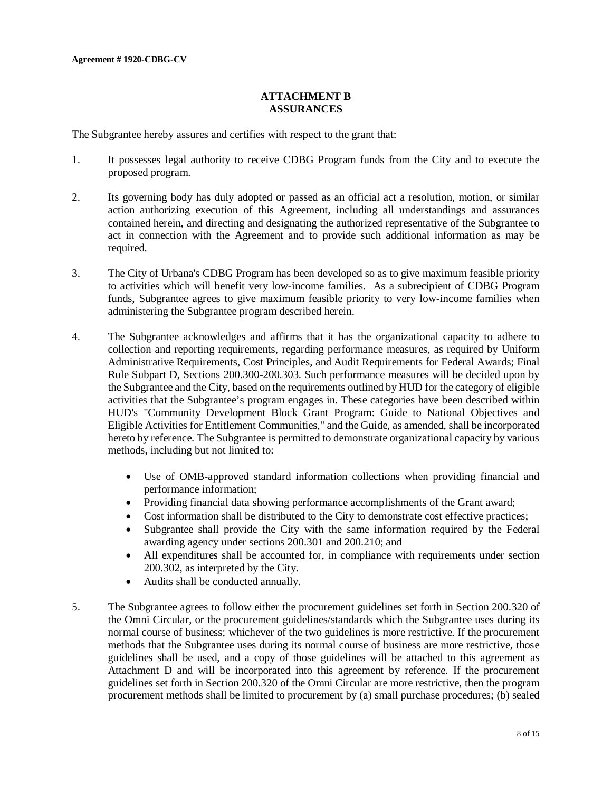### **ATTACHMENT B ASSURANCES**

The Subgrantee hereby assures and certifies with respect to the grant that:

- 1. It possesses legal authority to receive CDBG Program funds from the City and to execute the proposed program.
- 2. Its governing body has duly adopted or passed as an official act a resolution, motion, or similar action authorizing execution of this Agreement, including all understandings and assurances contained herein, and directing and designating the authorized representative of the Subgrantee to act in connection with the Agreement and to provide such additional information as may be required.
- 3. The City of Urbana's CDBG Program has been developed so as to give maximum feasible priority to activities which will benefit very low-income families. As a subrecipient of CDBG Program funds, Subgrantee agrees to give maximum feasible priority to very low-income families when administering the Subgrantee program described herein.
- 4. The Subgrantee acknowledges and affirms that it has the organizational capacity to adhere to collection and reporting requirements, regarding performance measures, as required by Uniform Administrative Requirements, Cost Principles, and Audit Requirements for Federal Awards; Final Rule Subpart D, Sections 200.300-200.303. Such performance measures will be decided upon by the Subgrantee and the City, based on the requirements outlined by HUD for the category of eligible activities that the Subgrantee's program engages in. These categories have been described within HUD's "Community Development Block Grant Program: Guide to National Objectives and Eligible Activities for Entitlement Communities," and the Guide, as amended, shall be incorporated hereto by reference. The Subgrantee is permitted to demonstrate organizational capacity by various methods, including but not limited to:
	- Use of OMB-approved standard information collections when providing financial and performance information;
	- Providing financial data showing performance accomplishments of the Grant award;
	- Cost information shall be distributed to the City to demonstrate cost effective practices;
	- Subgrantee shall provide the City with the same information required by the Federal awarding agency under sections 200.301 and 200.210; and
	- All expenditures shall be accounted for, in compliance with requirements under section 200.302, as interpreted by the City.
	- Audits shall be conducted annually.
- 5. The Subgrantee agrees to follow either the procurement guidelines set forth in Section 200.320 of the Omni Circular, or the procurement guidelines/standards which the Subgrantee uses during its normal course of business; whichever of the two guidelines is more restrictive. If the procurement methods that the Subgrantee uses during its normal course of business are more restrictive, those guidelines shall be used, and a copy of those guidelines will be attached to this agreement as Attachment D and will be incorporated into this agreement by reference. If the procurement guidelines set forth in Section 200.320 of the Omni Circular are more restrictive, then the program procurement methods shall be limited to procurement by (a) small purchase procedures; (b) sealed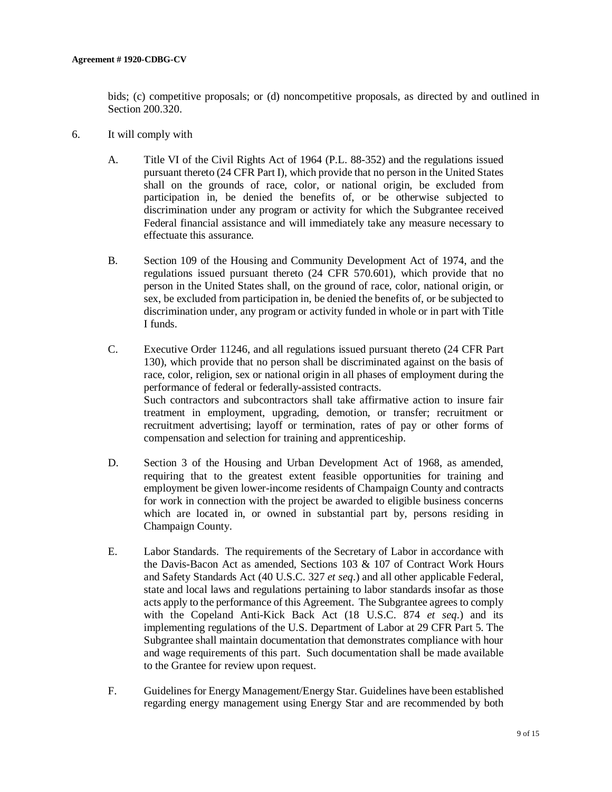bids; (c) competitive proposals; or (d) noncompetitive proposals, as directed by and outlined in Section 200.320.

- 6. It will comply with
	- A. Title VI of the Civil Rights Act of 1964 (P.L. 88-352) and the regulations issued pursuant thereto (24 CFR Part I), which provide that no person in the United States shall on the grounds of race, color, or national origin, be excluded from participation in, be denied the benefits of, or be otherwise subjected to discrimination under any program or activity for which the Subgrantee received Federal financial assistance and will immediately take any measure necessary to effectuate this assurance.
	- B. Section 109 of the Housing and Community Development Act of 1974, and the regulations issued pursuant thereto (24 CFR 570.601), which provide that no person in the United States shall, on the ground of race, color, national origin, or sex, be excluded from participation in, be denied the benefits of, or be subjected to discrimination under, any program or activity funded in whole or in part with Title I funds.
	- C. Executive Order 11246, and all regulations issued pursuant thereto (24 CFR Part 130), which provide that no person shall be discriminated against on the basis of race, color, religion, sex or national origin in all phases of employment during the performance of federal or federally-assisted contracts. Such contractors and subcontractors shall take affirmative action to insure fair treatment in employment, upgrading, demotion, or transfer; recruitment or recruitment advertising; layoff or termination, rates of pay or other forms of compensation and selection for training and apprenticeship.
	- D. Section 3 of the Housing and Urban Development Act of 1968, as amended, requiring that to the greatest extent feasible opportunities for training and employment be given lower-income residents of Champaign County and contracts for work in connection with the project be awarded to eligible business concerns which are located in, or owned in substantial part by, persons residing in Champaign County.
	- E. Labor Standards. The requirements of the Secretary of Labor in accordance with the Davis-Bacon Act as amended, Sections 103 & 107 of Contract Work Hours and Safety Standards Act (40 U.S.C. 327 *et seq*.) and all other applicable Federal, state and local laws and regulations pertaining to labor standards insofar as those acts apply to the performance of this Agreement. The Subgrantee agrees to comply with the Copeland Anti-Kick Back Act (18 U.S.C. 874 *et seq*.) and its implementing regulations of the U.S. Department of Labor at 29 CFR Part 5. The Subgrantee shall maintain documentation that demonstrates compliance with hour and wage requirements of this part. Such documentation shall be made available to the Grantee for review upon request.
	- F. Guidelines for Energy Management/Energy Star. Guidelines have been established regarding energy management using Energy Star and are recommended by both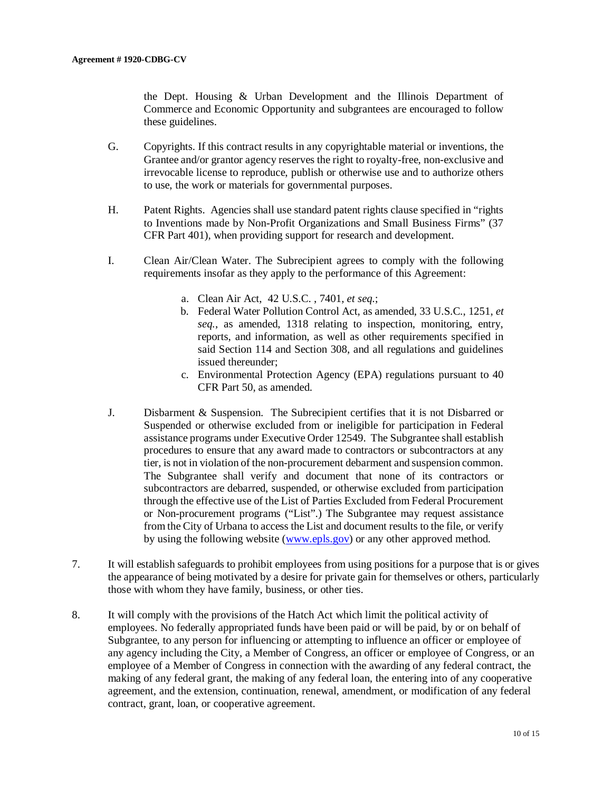the Dept. Housing & Urban Development and the Illinois Department of Commerce and Economic Opportunity and subgrantees are encouraged to follow these guidelines.

- G. Copyrights. If this contract results in any copyrightable material or inventions, the Grantee and/or grantor agency reserves the right to royalty-free, non-exclusive and irrevocable license to reproduce, publish or otherwise use and to authorize others to use, the work or materials for governmental purposes.
- H. Patent Rights. Agencies shall use standard patent rights clause specified in "rights to Inventions made by Non-Profit Organizations and Small Business Firms" (37 CFR Part 401), when providing support for research and development.
- I. Clean Air/Clean Water. The Subrecipient agrees to comply with the following requirements insofar as they apply to the performance of this Agreement:
	- a. Clean Air Act, 42 U.S.C. , 7401, *et seq*.;
	- b. Federal Water Pollution Control Act, as amended, 33 U.S.C., 1251, *et seq.*, as amended, 1318 relating to inspection, monitoring, entry, reports, and information, as well as other requirements specified in said Section 114 and Section 308, and all regulations and guidelines issued thereunder;
	- c. Environmental Protection Agency (EPA) regulations pursuant to 40 CFR Part 50, as amended.
- J. Disbarment & Suspension. The Subrecipient certifies that it is not Disbarred or Suspended or otherwise excluded from or ineligible for participation in Federal assistance programs under Executive Order 12549. The Subgrantee shall establish procedures to ensure that any award made to contractors or subcontractors at any tier, is not in violation of the non-procurement debarment and suspension common. The Subgrantee shall verify and document that none of its contractors or subcontractors are debarred, suspended, or otherwise excluded from participation through the effective use of the List of Parties Excluded from Federal Procurement or Non-procurement programs ("List".) The Subgrantee may request assistance from the City of Urbana to access the List and document results to the file, or verify by using the following website [\(www.epls.gov\)](http://www.epls.gov/) or any other approved method.
- 7. It will establish safeguards to prohibit employees from using positions for a purpose that is or gives the appearance of being motivated by a desire for private gain for themselves or others, particularly those with whom they have family, business, or other ties.
- 8. It will comply with the provisions of the Hatch Act which limit the political activity of employees. No federally appropriated funds have been paid or will be paid, by or on behalf of Subgrantee, to any person for influencing or attempting to influence an officer or employee of any agency including the City, a Member of Congress, an officer or employee of Congress, or an employee of a Member of Congress in connection with the awarding of any federal contract, the making of any federal grant, the making of any federal loan, the entering into of any cooperative agreement, and the extension, continuation, renewal, amendment, or modification of any federal contract, grant, loan, or cooperative agreement.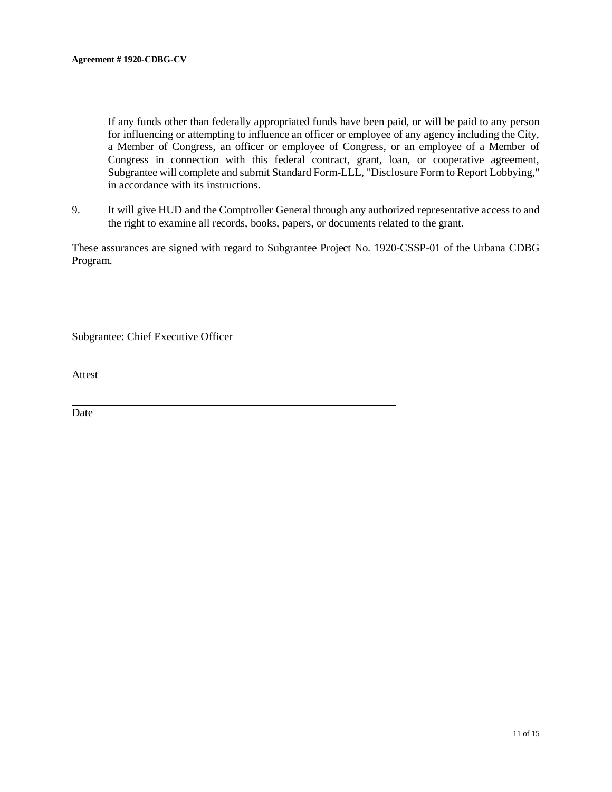If any funds other than federally appropriated funds have been paid, or will be paid to any person for influencing or attempting to influence an officer or employee of any agency including the City, a Member of Congress, an officer or employee of Congress, or an employee of a Member of Congress in connection with this federal contract, grant, loan, or cooperative agreement, Subgrantee will complete and submit Standard Form-LLL, "Disclosure Form to Report Lobbying," in accordance with its instructions.

9. It will give HUD and the Comptroller General through any authorized representative access to and the right to examine all records, books, papers, or documents related to the grant.

These assurances are signed with regard to Subgrantee Project No. 1920-CSSP-01 of the Urbana CDBG Program.

Subgrantee: Chief Executive Officer

Attest

Date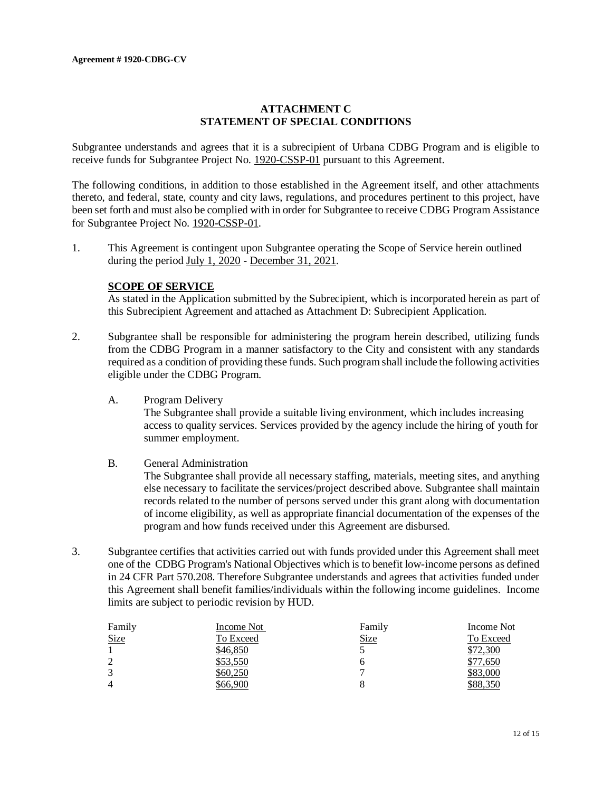## **ATTACHMENT C STATEMENT OF SPECIAL CONDITIONS**

Subgrantee understands and agrees that it is a subrecipient of Urbana CDBG Program and is eligible to receive funds for Subgrantee Project No. 1920-CSSP-01 pursuant to this Agreement.

The following conditions, in addition to those established in the Agreement itself, and other attachments thereto, and federal, state, county and city laws, regulations, and procedures pertinent to this project, have been set forth and must also be complied with in order for Subgrantee to receive CDBG Program Assistance for Subgrantee Project No. 1920-CSSP-01.

1. This Agreement is contingent upon Subgrantee operating the Scope of Service herein outlined during the period July 1, 2020 - December 31, 2021.

#### **SCOPE OF SERVICE**

As stated in the Application submitted by the Subrecipient, which is incorporated herein as part of this Subrecipient Agreement and attached as Attachment D: Subrecipient Application.

- 2. Subgrantee shall be responsible for administering the program herein described, utilizing funds from the CDBG Program in a manner satisfactory to the City and consistent with any standards required as a condition of providing these funds. Such program shall include the following activities eligible under the CDBG Program.
	- A. Program Delivery The Subgrantee shall provide a suitable living environment, which includes increasing access to quality services. Services provided by the agency include the hiring of youth for summer employment.

#### B. General Administration

The Subgrantee shall provide all necessary staffing, materials, meeting sites, and anything else necessary to facilitate the services/project described above. Subgrantee shall maintain records related to the number of persons served under this grant along with documentation of income eligibility, as well as appropriate financial documentation of the expenses of the program and how funds received under this Agreement are disbursed.

3. Subgrantee certifies that activities carried out with funds provided under this Agreement shall meet one of the CDBG Program's National Objectives which is to benefit low-income persons as defined in 24 CFR Part 570.208. Therefore Subgrantee understands and agrees that activities funded under this Agreement shall benefit families/individuals within the following income guidelines. Income limits are subject to periodic revision by HUD.

| Family         | Income Not | Family      | Income Not |
|----------------|------------|-------------|------------|
| <b>Size</b>    | To Exceed  | <b>Size</b> | To Exceed  |
|                | \$46,850   |             | \$72,300   |
| 2              | \$53,550   |             | \$77,650   |
| 3              | \$60,250   |             | \$83,000   |
| $\overline{4}$ | \$66,900   |             | \$88,350   |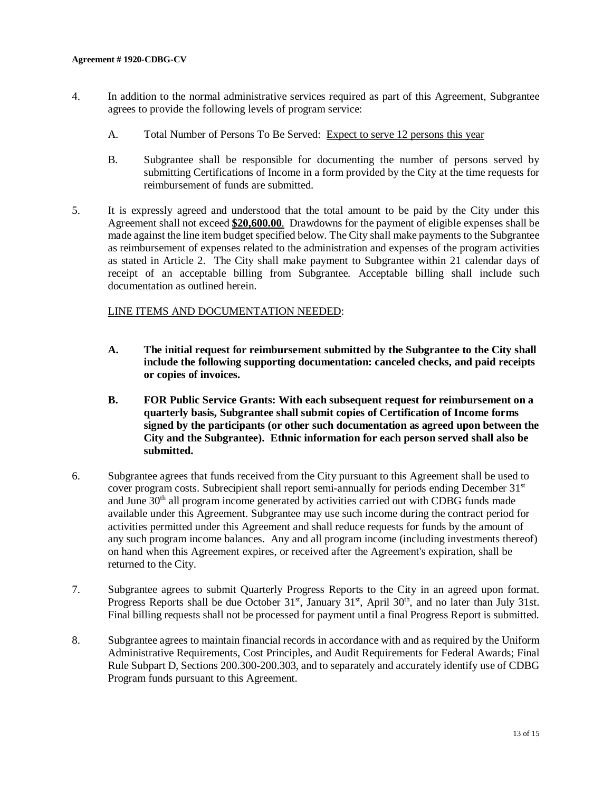- 4. In addition to the normal administrative services required as part of this Agreement, Subgrantee agrees to provide the following levels of program service:
	- A. Total Number of Persons To Be Served: Expect to serve 12 persons this year
	- B. Subgrantee shall be responsible for documenting the number of persons served by submitting Certifications of Income in a form provided by the City at the time requests for reimbursement of funds are submitted.
- 5. It is expressly agreed and understood that the total amount to be paid by the City under this Agreement shall not exceed **\$20,600.00**. Drawdowns for the payment of eligible expenses shall be made against the line item budget specified below. The City shall make payments to the Subgrantee as reimbursement of expenses related to the administration and expenses of the program activities as stated in Article 2. The City shall make payment to Subgrantee within 21 calendar days of receipt of an acceptable billing from Subgrantee. Acceptable billing shall include such documentation as outlined herein.

#### LINE ITEMS AND DOCUMENTATION NEEDED:

- **A. The initial request for reimbursement submitted by the Subgrantee to the City shall include the following supporting documentation: canceled checks, and paid receipts or copies of invoices.**
- **B. FOR Public Service Grants: With each subsequent request for reimbursement on a quarterly basis, Subgrantee shall submit copies of Certification of Income forms signed by the participants (or other such documentation as agreed upon between the City and the Subgrantee). Ethnic information for each person served shall also be submitted.**
- 6. Subgrantee agrees that funds received from the City pursuant to this Agreement shall be used to cover program costs. Subrecipient shall report semi-annually for periods ending December  $31<sup>st</sup>$ and June 30<sup>th</sup> all program income generated by activities carried out with CDBG funds made available under this Agreement. Subgrantee may use such income during the contract period for activities permitted under this Agreement and shall reduce requests for funds by the amount of any such program income balances. Any and all program income (including investments thereof) on hand when this Agreement expires, or received after the Agreement's expiration, shall be returned to the City.
- 7. Subgrantee agrees to submit Quarterly Progress Reports to the City in an agreed upon format. Progress Reports shall be due October 31<sup>st</sup>, January 31<sup>st</sup>, April 30<sup>th</sup>, and no later than July 31st. Final billing requests shall not be processed for payment until a final Progress Report is submitted.
- 8. Subgrantee agrees to maintain financial records in accordance with and as required by the Uniform Administrative Requirements, Cost Principles, and Audit Requirements for Federal Awards; Final Rule Subpart D, Sections 200.300-200.303, and to separately and accurately identify use of CDBG Program funds pursuant to this Agreement.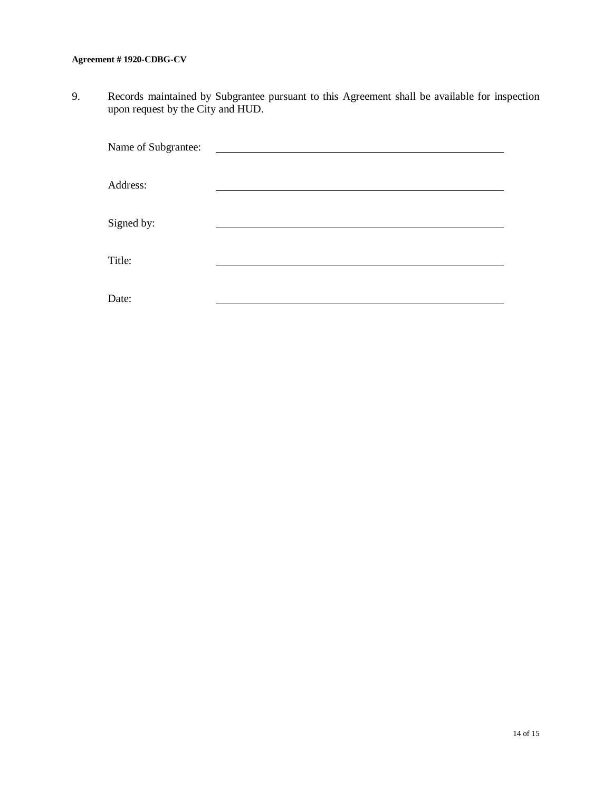#### **Agreement # 1920-CDBG-CV**

9. Records maintained by Subgrantee pursuant to this Agreement shall be available for inspection upon request by the City and HUD.

| Name of Subgrantee: |  |
|---------------------|--|
|                     |  |
| Address:            |  |
|                     |  |
| Signed by:          |  |
|                     |  |
| Title:              |  |
|                     |  |
| Date:               |  |